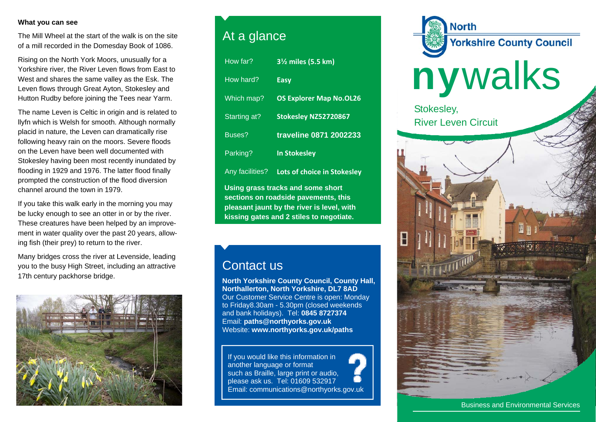## **What you can see**

The Mill Wheel at the start of the walk is on the site of a mill recorded in the Domesday Book of 1086.

Rising on the North York Moors, unusually for a Yorkshire river, the River Leven flows from East to West and shares the same valley as the Esk. The Leven flows through Great Ayton, Stokesley and Hutton Rudby before joining the Tees near Yarm.

The name Leven is Celtic in origin and is related to llyfn which is Welsh for smooth. Although normally placid in nature, the Leven can dramatically rise following heavy rain on the moors. Severe floods on the Leven have been well documented with Stokesley having been most recently inundated by flooding in 1929 and 1976. The latter flood finally prompted the construction of the flood diversion channel around the town in 1979.

If you take this walk early in the morning you may be lucky enough to see an otter in or by the river. These creatures have been helped by an improvement in water quality over the past 20 years, allowing fish (their prey) to return to the river.

Many bridges cross the river at Levenside, leading you to the busy High Street, including an attractive 17th century packhorse bridge.



## At a glance

| How far?                                                                                                                                                            | 3 <sup>1</sup> / <sub>2</sub> miles (5.5 km) |
|---------------------------------------------------------------------------------------------------------------------------------------------------------------------|----------------------------------------------|
| How hard?                                                                                                                                                           | <b>Easy</b>                                  |
| Which map?                                                                                                                                                          | <b>OS Explorer Map No.OL26</b>               |
| Starting at?                                                                                                                                                        | Stokesley NZ52720867                         |
| Buses?                                                                                                                                                              | traveline 0871 2002233                       |
| Parking?                                                                                                                                                            | <b>In Stokesley</b>                          |
| Any facilities?                                                                                                                                                     | Lots of choice in Stokesley                  |
| Using grass tracks and some short<br>sections on roadside pavements, this<br>pleasant jaunt by the river is level, with<br>kissing gates and 2 stiles to negotiate. |                                              |

## Contact us

**North Yorkshire County Council, County Hall, Northallerton, North Yorkshire, DL7 8AD** Our Customer Service Centre is open: Monday to Friday8.30am - 5.30pm (closed weekends and bank holidays). Tel: **0845 8727374** Email: **paths@northyorks.gov.uk**  Website: **www.northyorks.gov.uk/paths**

If you would like this information in another language or format such as Braille, large print or audio, please ask us. Tel: 01609 532917 Email: communications@northyorks.gov.uk



Business and Environmental Services